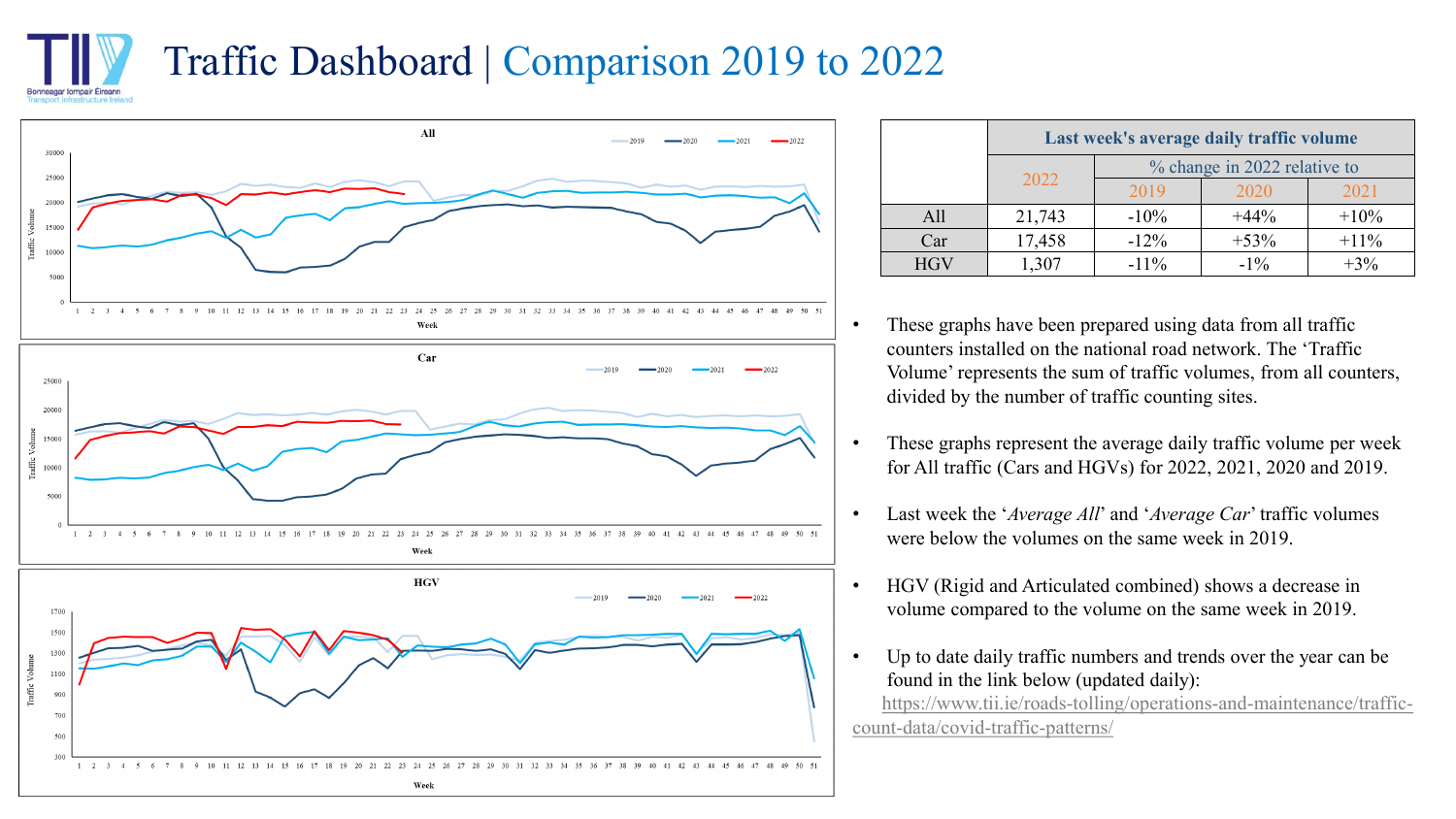## Traffic Dashboard | Comparison 2019 to 2022 Ionneagar Iompair Éireann



Week

 $900$ 700 500

> $1\quad 2\quad 3$  $4$

|            | Last week's average daily traffic volume |                              |         |         |  |  |
|------------|------------------------------------------|------------------------------|---------|---------|--|--|
|            |                                          | % change in 2022 relative to |         |         |  |  |
|            | 2022                                     | 2019                         | 2020    | 2021    |  |  |
| All        | 21,743                                   | $-10\%$                      | $+44\%$ | $+10\%$ |  |  |
| Car        | 17,458                                   | $-12%$                       | $+53%$  | $+11\%$ |  |  |
| <b>HGV</b> | 1,307                                    | $-11\%$                      | $-1\%$  | $+3\%$  |  |  |

- These graphs have been prepared using data from all traffic counters installed on the national road network. The 'Traffic Volume' represents the sum of traffic volumes, from all counters, divided by the number of traffic counting sites.
- These graphs represent the average daily traffic volume per week for All traffic (Cars and HGVs) for 2022, 2021, 2020 and 2019.
- Last week the '*Average All*' and '*Average Car*' traffic volumes were below the volumes on the same week in 2019.
- HGV (Rigid and Articulated combined) shows a decrease in volume compared to the volume on the same week in 2019.
- Up to date daily traffic numbers and trends over the year can be found in the link below (updated daily): [https://www.tii.ie/roads-tolling/operations-and-maintenance/traffic-](https://www.tii.ie/roads-tolling/operations-and-maintenance/traffic-count-data/covid-traffic-patterns/)

count-data/covid-traffic-patterns/